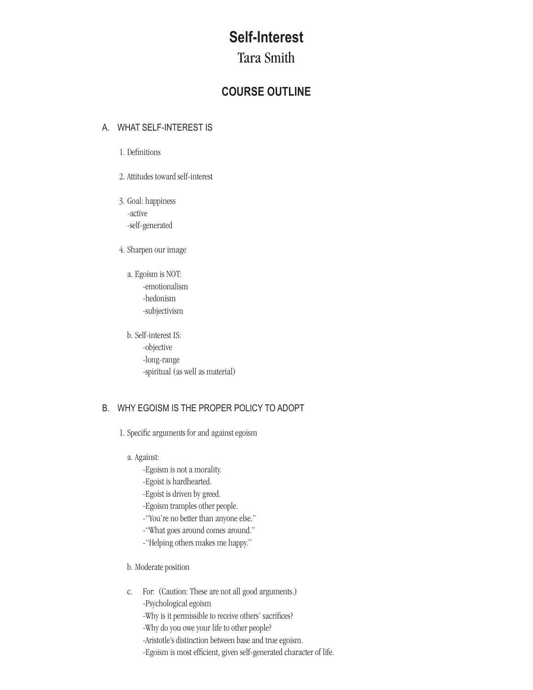# **Self-Interest**

## Tara Smith

## **COURSE OUTLINE**

#### A. WHAT SELF-INTEREST IS

- 1. Definitions
- 2. Attitudes toward self-interest
- 3. Goal: happiness -active -self-generated
- 4. Sharpen our image
	- a. Egoism is NOT: -emotionalism -hedonism -subjectivism
	- b. Self-interest IS: -objective -long-range -spiritual (as well as material)

## B. WHY EGOISM IS THE PROPER POLICY TO ADOPT

- 1. Specific arguments for and against egoism
	- a. Against:
		- -Egoism is not a morality.
		- -Egoist is hardhearted.
		- -Egoist is driven by greed.
		- -Egoism tramples other people.
		- -"You're nobetter than anyone else."
		- -"What goes around comes around."
		- -"Helping others makes me happy."
	- b. Moderate position
	- c. For: (Caution: These are not all good arguments.) -Psychological egoism
		- -Why is it permissible to receive others' sacrifices?
		- -Why do you owe your life to other people?
		- -Aristotle's distinction between base and true egoism.
		- -Egoism is most efficient, given self-generated character of life.